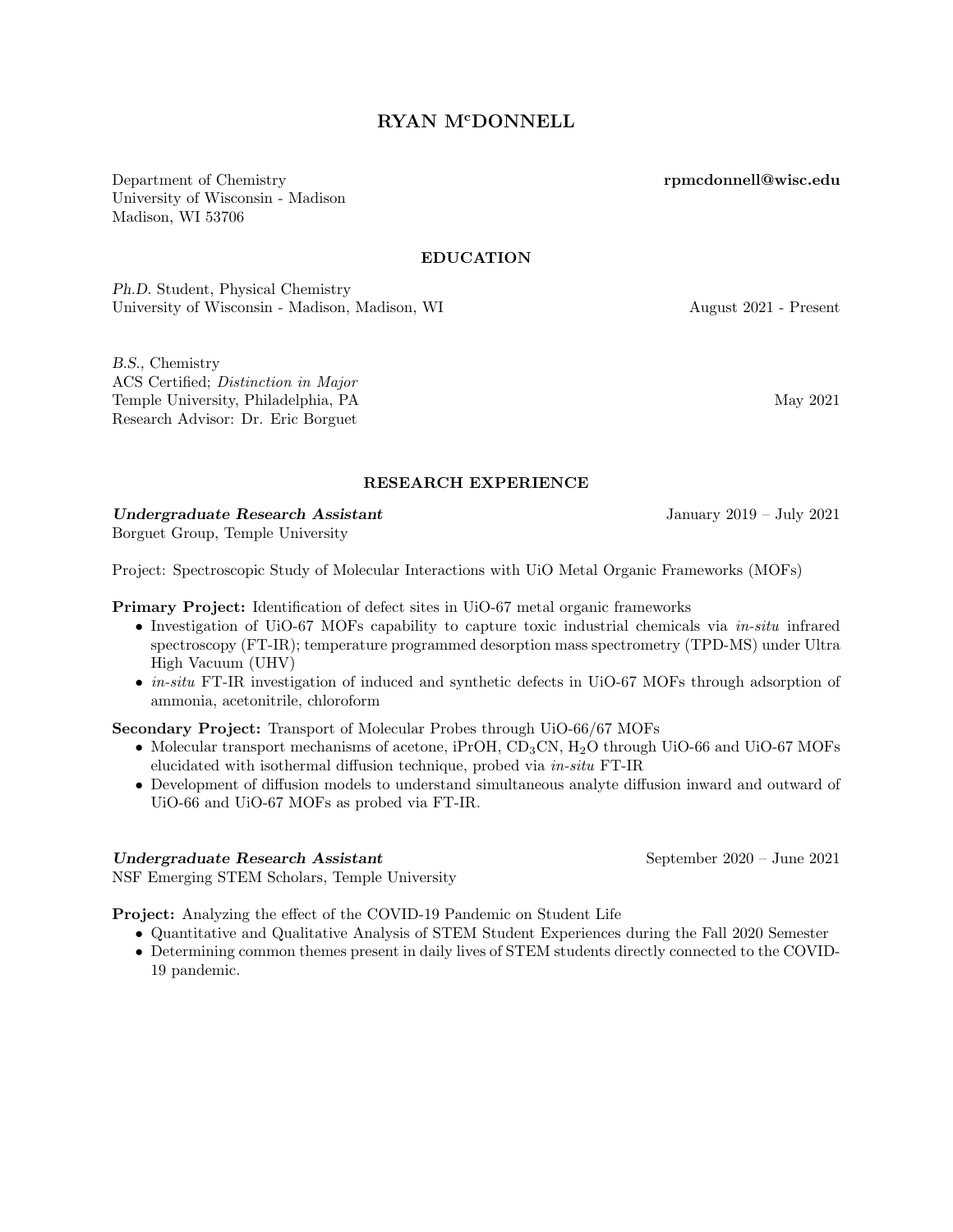# RYAN M<sup>c</sup>DONNELL

Department of Chemistry University of Wisconsin - Madison Madison, WI 53706

#### EDUCATION

Ph.D. Student, Physical Chemistry University of Wisconsin - Madison, Madison, WI August 2021 - Present

B.S., Chemistry ACS Certified; Distinction in Major Temple University, Philadelphia, PA May 2021 Research Advisor: Dr. Eric Borguet

[rpmcdonnell@wisc.edu](mailto:rpmcdonnell@wisc.edu)

#### RESEARCH EXPERIENCE

Undergraduate Research Assistant January 2019 – July 2021

[Borguet Group,](http://sites.temple.edu/Borguet) Temple University

Project: Spectroscopic Study of Molecular Interactions with UiO Metal Organic Frameworks (MOFs)

Primary Project: Identification of defect sites in UiO-67 metal organic frameworks

- Investigation of UiO-67 MOFs capability to capture toxic industrial chemicals via *in-situ* infrared spectroscopy (FT-IR); temperature programmed desorption mass spectrometry (TPD-MS) under Ultra High Vacuum (UHV)
- *in-situ* FT-IR investigation of induced and synthetic defects in UiO-67 MOFs through adsorption of ammonia, acetonitrile, chloroform

Secondary Project: Transport of Molecular Probes through UiO-66/67 MOFs

- Molecular transport mechanisms of acetone, iPrOH, CD<sub>3</sub>CN, H<sub>2</sub>O through UiO-66 and UiO-67 MOFs elucidated with isothermal diffusion technique, probed via in-situ FT-IR
- Development of diffusion models to understand simultaneous analyte diffusion inward and outward of UiO-66 and UiO-67 MOFs as probed via FT-IR.

### Undergraduate Research Assistant September 2020 – June 2021

[NSF Emerging STEM Scholars,](http://sites.temple.edu/emergingstemscholars) Temple University

Project: Analyzing the effect of the COVID-19 Pandemic on Student Life

- Quantitative and Qualitative Analysis of STEM Student Experiences during the Fall 2020 Semester
- Determining common themes present in daily lives of STEM students directly connected to the COVID-19 pandemic.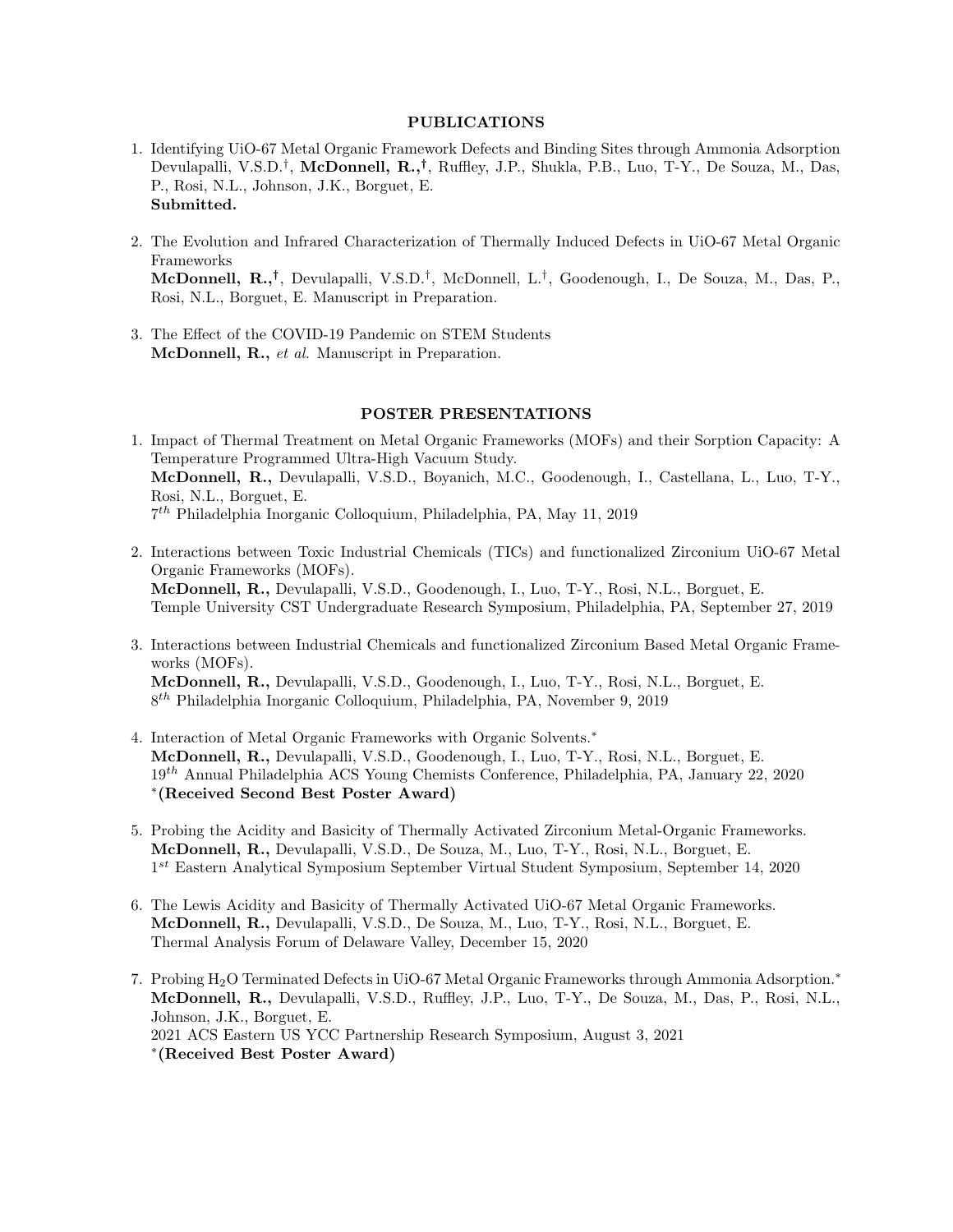### PUBLICATIONS

- 1. Identifying UiO-67 Metal Organic Framework Defects and Binding Sites through Ammonia Adsorption Devulapalli, V.S.D.<sup>†</sup>, McDonnell, R.,<sup>†</sup>, Ruffley, J.P., Shukla, P.B., Luo, T-Y., De Souza, M., Das, P., Rosi, N.L., Johnson, J.K., Borguet, E. Submitted.
- 2. The Evolution and Infrared Characterization of Thermally Induced Defects in UiO-67 Metal Organic Frameworks McDonnell, R.,† , Devulapalli, V.S.D.† , McDonnell, L.† , Goodenough, I., De Souza, M., Das, P., Rosi, N.L., Borguet, E. Manuscript in Preparation.
- 3. The Effect of the COVID-19 Pandemic on STEM Students McDonnell, R., et al. Manuscript in Preparation.

### POSTER PRESENTATIONS

- 1. Impact of Thermal Treatment on Metal Organic Frameworks (MOFs) and their Sorption Capacity: A Temperature Programmed Ultra-High Vacuum Study. McDonnell, R., Devulapalli, V.S.D., Boyanich, M.C., Goodenough, I., Castellana, L., Luo, T-Y., Rosi, N.L., Borguet, E. 7 th Philadelphia Inorganic Colloquium, Philadelphia, PA, May 11, 2019
- 2. Interactions between Toxic Industrial Chemicals (TICs) and functionalized Zirconium UiO-67 Metal Organic Frameworks (MOFs). McDonnell, R., Devulapalli, V.S.D., Goodenough, I., Luo, T-Y., Rosi, N.L., Borguet, E. Temple University CST Undergraduate Research Symposium, Philadelphia, PA, September 27, 2019
- 3. Interactions between Industrial Chemicals and functionalized Zirconium Based Metal Organic Frameworks (MOFs). McDonnell, R., Devulapalli, V.S.D., Goodenough, I., Luo, T-Y., Rosi, N.L., Borguet, E. 8 th Philadelphia Inorganic Colloquium, Philadelphia, PA, November 9, 2019
- 4. Interaction of Metal Organic Frameworks with Organic Solvents.<sup>∗</sup> McDonnell, R., Devulapalli, V.S.D., Goodenough, I., Luo, T-Y., Rosi, N.L., Borguet, E. 19th Annual Philadelphia ACS Young Chemists Conference, Philadelphia, PA, January 22, 2020 ∗ (Received Second Best Poster Award)
- 5. Probing the Acidity and Basicity of Thermally Activated Zirconium Metal-Organic Frameworks. McDonnell, R., Devulapalli, V.S.D., De Souza, M., Luo, T-Y., Rosi, N.L., Borguet, E. 1<sup>st</sup> Eastern Analytical Symposium September Virtual Student Symposium, September 14, 2020
- 6. The Lewis Acidity and Basicity of Thermally Activated UiO-67 Metal Organic Frameworks. McDonnell, R., Devulapalli, V.S.D., De Souza, M., Luo, T-Y., Rosi, N.L., Borguet, E. Thermal Analysis Forum of Delaware Valley, December 15, 2020
- 7. Probing H2O Terminated Defects in UiO-67 Metal Organic Frameworks through Ammonia Adsorption.<sup>∗</sup> McDonnell, R., Devulapalli, V.S.D., Ruffley, J.P., Luo, T-Y., De Souza, M., Das, P., Rosi, N.L., Johnson, J.K., Borguet, E. 2021 ACS Eastern US YCC Partnership Research Symposium, August 3, 2021 ∗ (Received Best Poster Award)